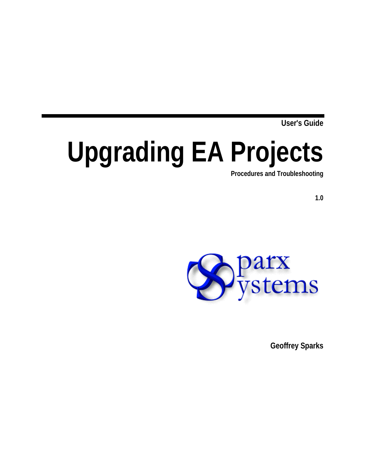**User's Guide**

# **Upgrading EA Projects Procedures and Troubleshooting**

**1.0**



**Geoffrey Sparks**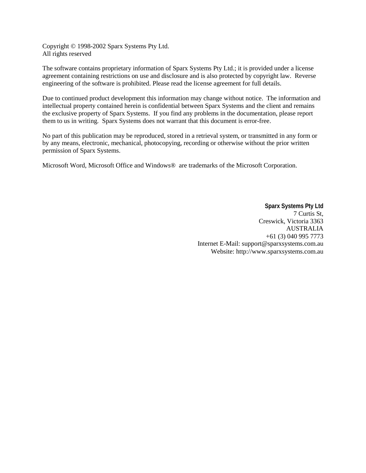Copyright © 1998-2002 Sparx Systems Pty Ltd. All rights reserved

The software contains proprietary information of Sparx Systems Pty Ltd.; it is provided under a license agreement containing restrictions on use and disclosure and is also protected by copyright law. Reverse engineering of the software is prohibited. Please read the license agreement for full details.

Due to continued product development this information may change without notice. The information and intellectual property contained herein is confidential between Sparx Systems and the client and remains the exclusive property of Sparx Systems. If you find any problems in the documentation, please report them to us in writing. Sparx Systems does not warrant that this document is error-free.

No part of this publication may be reproduced, stored in a retrieval system, or transmitted in any form or by any means, electronic, mechanical, photocopying, recording or otherwise without the prior written permission of Sparx Systems.

Microsoft Word, Microsoft Office and Windows® are trademarks of the Microsoft Corporation.

**Sparx Systems Pty Ltd** 7 Curtis St, Creswick, Victoria 3363 AUSTRALIA +61 (3) 040 995 7773 Internet E-Mail: support@sparxsystems.com.au Website: http://www.sparxsystems.com.au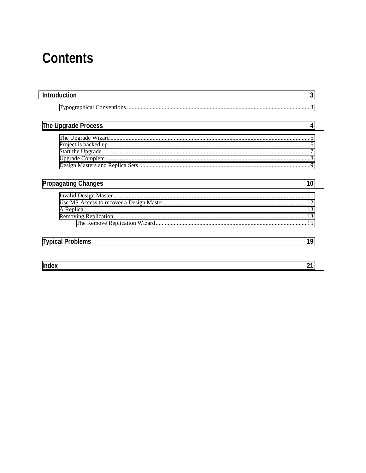## **Contents**

| <b>Introduction</b><br>3         |  |
|----------------------------------|--|
|                                  |  |
| The Upgrade Process<br>4         |  |
|                                  |  |
|                                  |  |
|                                  |  |
|                                  |  |
|                                  |  |
| <b>Propagating Changes</b><br>10 |  |
|                                  |  |
|                                  |  |
|                                  |  |
|                                  |  |
|                                  |  |
| <b>Typical Problems</b><br>19    |  |
|                                  |  |
| <b>Index</b>                     |  |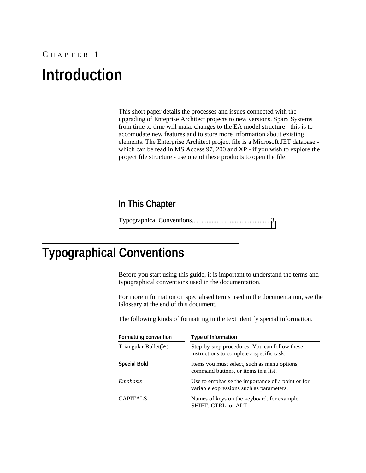## <span id="page-4-0"></span>C HAPTER 1 **Introduction**

This short paper details the processes and issues connected with the upgrading of Enteprise Architect projects to new versions. Sparx Systems from time to time will make changes to the EA model structure - this is to accomodate new features and to store more information about existing elements. The Enterprise Architect project file is a Microsoft JET database which can be read in MS Access 97, 200 and XP - if you wish to explore the project file structure - use one of these products to open the file.

### **In This Chapter**

Typographical Conventions................................................3

### **Typographical Conventions**

Before you start using this guide, it is important to understand the terms and typographical conventions used in the documentation.

For more information on specialised terms used in the documentation, see the Glossary at the end of this document.

The following kinds of formatting in the text identify special information.

| <b>Formatting convention</b> | <b>Type of Information</b>                                                                    |
|------------------------------|-----------------------------------------------------------------------------------------------|
| Triangular Bullet( $\geq$ )  | Step-by-step procedures. You can follow these<br>instructions to complete a specific task.    |
| <b>Special Bold</b>          | Items you must select, such as menu options,<br>command buttons, or items in a list.          |
| Emphasis                     | Use to emphasise the importance of a point or for<br>variable expressions such as parameters. |
| <b>CAPITALS</b>              | Names of keys on the keyboard. for example,<br>SHIFT, CTRL, or ALT.                           |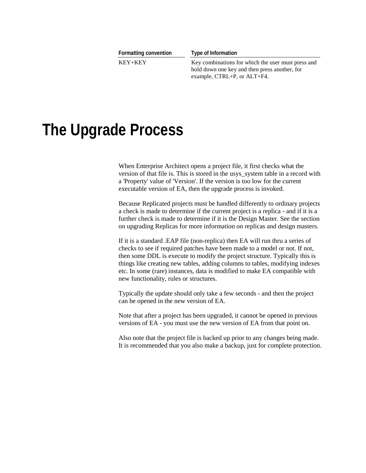<span id="page-5-0"></span>

| <b>Formatting convention</b> | Type of Information                                                                                 |
|------------------------------|-----------------------------------------------------------------------------------------------------|
| KEY+KEY                      | Key combinations for which the user must press and<br>hold down one key and then press another, for |
|                              | example, $CTRL+P$ , or $ALT+F4$ .                                                                   |

## **The Upgrade Process**

When Enterprise Architect opens a project file, it first checks what the version of that file is. This is stored in the usys\_system table in a record with a 'Property' value of 'Version'. If the version is too low for the current executable version of EA, then the upgrade process is invoked.

Because Replicated projects must be handled differently to ordinary projects a check is made to determine if the current project is a replica - and if it is a further check is made to determine if it is the Design Master. See the section on upgrading Replicas for more information on replicas and design masters.

If it is a standard .EAP file (non-replica) then EA will run thru a series of checks to see if required patches have been made to a model or not. If not, then some DDL is execute to modify the project structure. Typically this is things like creating new tables, adding columns to tables, modifying indexes etc. In some (rare) instances, data is modified to make EA compatible with new functionality, rules or structures.

Typically the update should only take a few seconds - and then the project can be opened in the new version of EA.

Note that after a project has been upgraded, it cannot be opened in previous versions of EA - you must use the new version of EA from that point on.

Also note that the project file is backed up prior to any changes being made. It is recommended that you also make a backup, just for complete protection.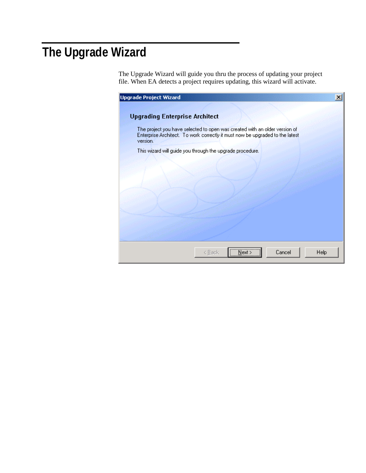## <span id="page-6-0"></span>**The Upgrade Wizard**

The Upgrade Wizard will guide you thru the process of updating your project file. When EA detects a project requires updating, this wizard will activate.

| <b>Upgrade Project Wizard</b>                                                                                                                                           |      |
|-------------------------------------------------------------------------------------------------------------------------------------------------------------------------|------|
| <b>Upgrading Enterprise Architect</b>                                                                                                                                   |      |
| The project you have selected to open was created with an older version of<br>Enterprise Architect. To work correctly it must now be upgraded to the latest<br>version. |      |
| This wizard will guide you through the upgrade procedure.                                                                                                               |      |
|                                                                                                                                                                         |      |
|                                                                                                                                                                         |      |
|                                                                                                                                                                         |      |
|                                                                                                                                                                         |      |
|                                                                                                                                                                         |      |
|                                                                                                                                                                         |      |
| $\overline{\text{Next}}$<br>Cancel                                                                                                                                      |      |
| < <u>B</u> ack                                                                                                                                                          | Help |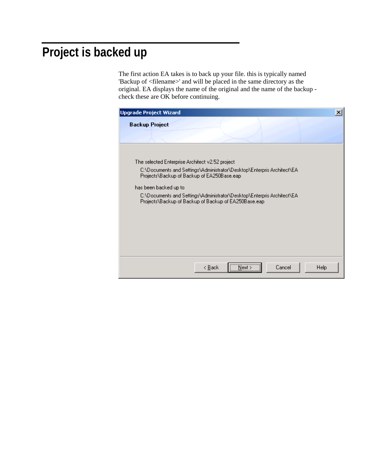### <span id="page-7-0"></span>**Project is backed up**

The first action EA takes is to back up your file. this is typically named 'Backup of <filename>' and will be placed in the same directory as the original. EA displays the name of the original and the name of the backup check these are OK before continuing.

| <b>Upgrade Project Wizard</b>                                                                                                  |                |      |        |      |
|--------------------------------------------------------------------------------------------------------------------------------|----------------|------|--------|------|
| <b>Backup Project</b>                                                                                                          |                |      |        |      |
|                                                                                                                                |                |      |        |      |
|                                                                                                                                |                |      |        |      |
| The selected Enterprise Architect v2.52 project                                                                                |                |      |        |      |
| C:\Documents and Settings\Administrator\Desktop\Enterpris Architect\EA<br>Projects\Backup of Backup of EA250Base.eap           |                |      |        |      |
| has been backed up to                                                                                                          |                |      |        |      |
| C:\Documents and Settings\Administrator\Desktop\Enterpris Architect\EA<br>Projects\Backup of Backup of Backup of EA250Base.eap |                |      |        |      |
|                                                                                                                                |                |      |        |      |
|                                                                                                                                |                |      |        |      |
|                                                                                                                                |                |      |        |      |
|                                                                                                                                |                |      |        |      |
|                                                                                                                                |                |      |        |      |
|                                                                                                                                |                |      |        |      |
|                                                                                                                                | < <u>B</u> ack | Next | Cancel | Help |
|                                                                                                                                |                |      |        |      |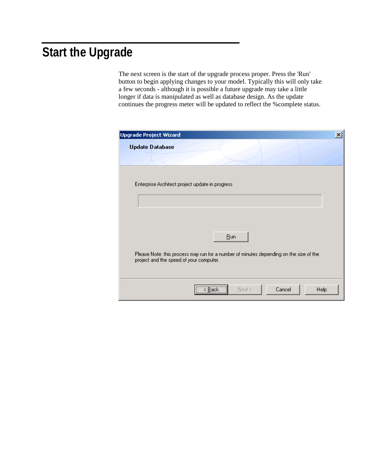## <span id="page-8-0"></span>**Start the Upgrade**

The next screen is the start of the upgrade process proper. Press the 'Run' button to begin applying changes to your model. Typically this will only take a few seconds - although it is possible a future upgrade may take a little longer if data is manipulated as well as database design. As the update continues the progress meter will be updated to reflect the %complete status.

| <b>Upgrade Project Wizard</b>                                                                                                     | $\vert x \vert$                     |
|-----------------------------------------------------------------------------------------------------------------------------------|-------------------------------------|
| <b>Update Database</b>                                                                                                            |                                     |
|                                                                                                                                   | Bun<br><br>Sack<br>Sack<br>Sack<br> |
|                                                                                                                                   |                                     |
| Enterprise Architect project update in progress                                                                                   |                                     |
|                                                                                                                                   |                                     |
|                                                                                                                                   |                                     |
|                                                                                                                                   |                                     |
|                                                                                                                                   |                                     |
|                                                                                                                                   |                                     |
| Please Note: this process may run for a number of minutes depending on the size of the<br>project and the speed of your computer. |                                     |
|                                                                                                                                   |                                     |
|                                                                                                                                   |                                     |
|                                                                                                                                   |                                     |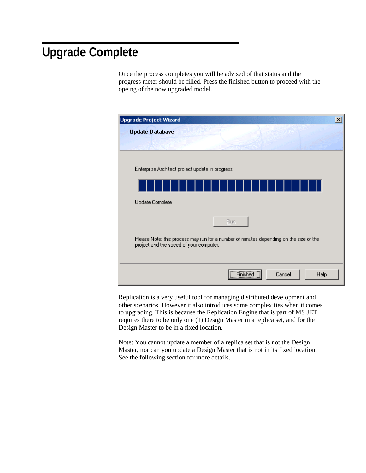### <span id="page-9-0"></span>**Upgrade Complete**

Once the process completes you will be advised of that status and the progress meter should be filled. Press the finished button to proceed with the opeing of the now upgraded model.

| <b>Upgrade Project Wizard</b>                                                                                                     |  |
|-----------------------------------------------------------------------------------------------------------------------------------|--|
| <b>Update Database</b>                                                                                                            |  |
|                                                                                                                                   |  |
|                                                                                                                                   |  |
| Enterprise Architect project update in progress                                                                                   |  |
|                                                                                                                                   |  |
| Update Complete                                                                                                                   |  |
| Bun                                                                                                                               |  |
| Please Note: this process may run for a number of minutes depending on the size of the<br>project and the speed of your computer. |  |
| Finished<br>Cancel<br>Help                                                                                                        |  |

Replication is a very useful tool for managing distributed development and other scenarios. However it also introduces some complexities when it comes to upgrading. This is because the Replication Engine that is part of MS JET requires there to be only one (1) Design Master in a replica set, and for the Design Master to be in a fixed location.

Note: You cannot update a member of a replica set that is not the Design Master, nor can you update a Design Master that is not in its fixed location. See the following section for more details.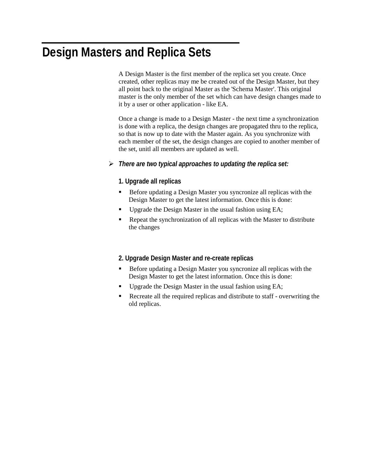### <span id="page-10-0"></span>**Design Masters and Replica Sets**

A Design Master is the first member of the replica set you create. Once created, other replicas may me be created out of the Design Master, but they all point back to the original Master as the 'Schema Master'. This original master is the only member of the set which can have design changes made to it by a user or other application - like EA.

Once a change is made to a Design Master - the next time a synchronization is done with a replica, the design changes are propagated thru to the replica, so that is now up to date with the Master again. As you synchronize with each member of the set, the design changes are copied to another member of the set, unitl all members are updated as well.

#### ! *There are two typical approaches to updating the replica set:*

#### **1. Upgrade all replicas**

- Before updating a Design Master you syncronize all replicas with the Design Master to get the latest information. Once this is done:
- " Upgrade the Design Master in the usual fashion using EA;
- Repeat the synchronization of all replicas with the Master to distribute the changes

#### **2. Upgrade Design Master and re-create replicas**

- " Before updating a Design Master you syncronize all replicas with the Design Master to get the latest information. Once this is done:
- " Upgrade the Design Master in the usual fashion using EA;
- Recreate all the required replicas and distribute to staff overwriting the old replicas.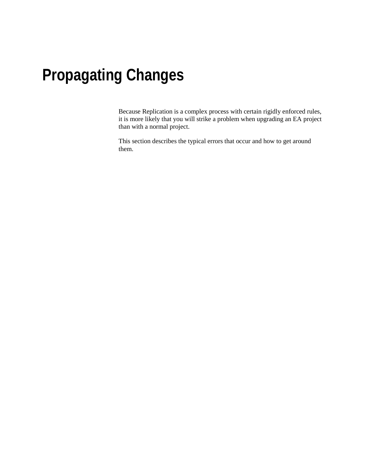# <span id="page-11-0"></span>**Propagating Changes**

Because Replication is a complex process with certain rigidly enforced rules, it is more likely that you will strike a problem when upgrading an EA project than with a normal project.

This section describes the typical errors that occur and how to get around them.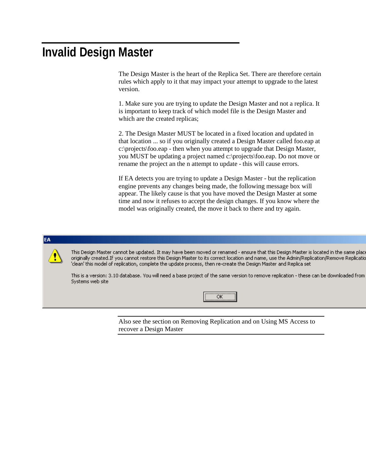### <span id="page-12-0"></span>**Invalid Design Master**

The Design Master is the heart of the Replica Set. There are therefore certain rules which apply to it that may impact your attempt to upgrade to the latest version.

1. Make sure you are trying to update the Design Master and not a replica. It is important to keep track of which model file is the Design Master and which are the created replicas;

2. The Design Master MUST be located in a fixed location and updated in that location ... so if you originally created a Design Master called foo.eap at c:\projects\foo.eap - then when you attempt to upgrade that Design Master, you MUST be updating a project named c:\projects\foo.eap. Do not move or rename the project an the n attempt to update - this will cause errors.

If EA detects you are trying to update a Design Master - but the replication engine prevents any changes being made, the following message box will appear. The likely cause is that you have moved the Design Master at some time and now it refuses to accept the design changes. If you know where the model was originally created, the move it back to there and try again.

#### EA

This Design Master cannot be updated. It may have been moved or renamed - ensure that this Design Master is located in the same plac originally created.If you cannot restore this Design Master to its correct location and name, use the Admin/Replication/Remove Replicatio 'clean' this model of replication, complete the update process, then re-create the Design Master and Replica set

This is a version: 3.10 database. You will need a base project of the same version to remove replication - these can be downloaded from Systems web site



Also see the section on Removing Replication and on Using MS Access to recover a Design Master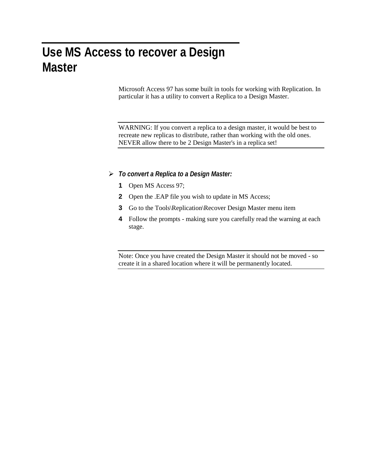### <span id="page-13-0"></span>**Use MS Access to recover a Design Master**

Microsoft Access 97 has some built in tools for working with Replication. In particular it has a utility to convert a Replica to a Design Master.

WARNING: If you convert a replica to a design master, it would be best to recreate new replicas to distribute, rather than working with the old ones. NEVER allow there to be 2 Design Master's in a replica set!

#### ! *To convert a Replica to a Design Master:*

- **1** Open MS Access 97;
- **2** Open the .EAP file you wish to update in MS Access;
- **3** Go to the Tools\Replication\Recover Design Master menu item
- **4** Follow the prompts making sure you carefully read the warning at each stage.

Note: Once you have created the Design Master it should not be moved - so create it in a shared location where it will be permanently located.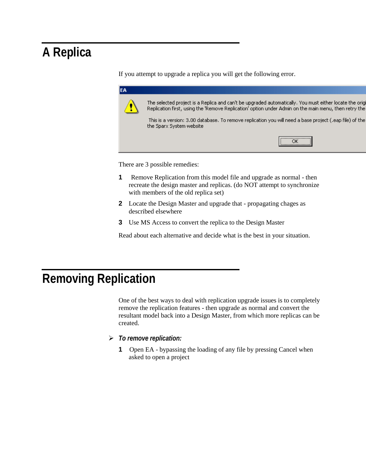### <span id="page-14-0"></span>**A Replica**

If you attempt to upgrade a replica you will get the following error.

| EA |                                                                                                                                                                                                                  |
|----|------------------------------------------------------------------------------------------------------------------------------------------------------------------------------------------------------------------|
|    | The selected project is a Replica and can't be upgraded automatically. You must either locate the origi<br>Replication first, using the 'Remove Replication' option under Admin on the main menu, then retry the |
|    | This is a version: 3.00 database. To remove replication you will need a base project (,eap file) of the I<br>the Sparx System website                                                                            |
|    |                                                                                                                                                                                                                  |
|    |                                                                                                                                                                                                                  |

There are 3 possible remedies:

- **1** Remove Replication from this model file and upgrade as normal then recreate the design master and replicas. (do NOT attempt to synchronize with members of the old replica set)
- **2** Locate the Design Master and upgrade that propagating chages as described elsewhere
- **3** Use MS Access to convert the replica to the Design Master

Read about each alternative and decide what is the best in your situation.

### **Removing Replication**

One of the best ways to deal with replication upgrade issues is to completely remove the replication features - then upgrade as normal and convert the resultant model back into a Design Master, from which more replicas can be created.

- ! *To remove replication:*
	- **1** Open EA bypassing the loading of any file by pressing Cancel when asked to open a project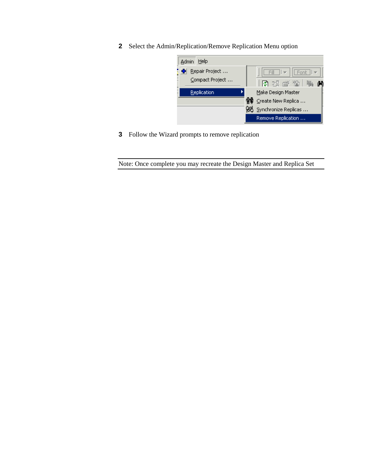Select the Admin/Replication/Remove Replication Menu option



Follow the Wizard prompts to remove replication

Note: Once complete you may recreate the Design Master and Replica Set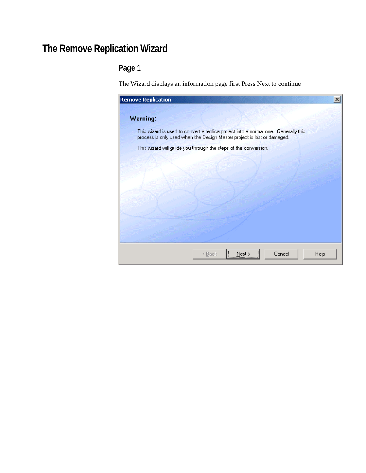### <span id="page-16-0"></span>**The Remove Replication Wizard**

### **Page 1**

The Wizard displays an information page first Press Next to continue

| <b>Remove Replication</b>                                                                                                                                     |      |
|---------------------------------------------------------------------------------------------------------------------------------------------------------------|------|
| Warning:                                                                                                                                                      |      |
| This wizard is used to convert a replica project into a normal one. Generally this<br>process is only used when the Design Master project is lost or damaged. |      |
| This wizard will guide you through the steps of the conversion.                                                                                               |      |
|                                                                                                                                                               |      |
|                                                                                                                                                               |      |
|                                                                                                                                                               |      |
|                                                                                                                                                               |      |
|                                                                                                                                                               |      |
|                                                                                                                                                               |      |
| <br>Cancel<br>< <u>B</u> ack<br>Next.                                                                                                                         | Help |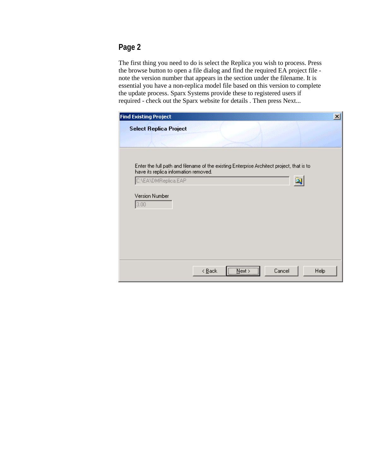The first thing you need to do is select the Replica you wish to process. Press the browse button to open a file dialog and find the required EA project file note the version number that appears in the section under the filename. It is essential you have a non-replica model file based on this version to complete the update process. Sparx Systems provide these to registered users if required - check out the Sparx website for details . Then press Next...

| <b>Find Existing Project</b>                                                              |                |
|-------------------------------------------------------------------------------------------|----------------|
| <b>Select Replica Project</b>                                                             |                |
|                                                                                           |                |
|                                                                                           |                |
|                                                                                           |                |
| Enter the full path and filename of the existing Enterprise Architect project, that is to |                |
| have its replica information removed.                                                     |                |
| C:\EA\DMReplica.EAP                                                                       | A              |
| Version Number                                                                            |                |
| 3.00                                                                                      |                |
|                                                                                           |                |
|                                                                                           |                |
|                                                                                           |                |
|                                                                                           |                |
|                                                                                           |                |
|                                                                                           |                |
| $N$ ext ><br>$\leq$ $\underline{B}$ ack                                                   | Cancel<br>Help |
|                                                                                           |                |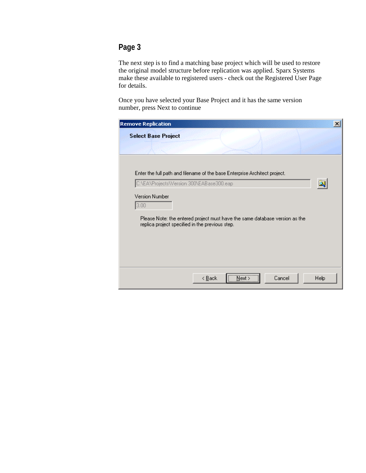The next step is to find a matching base project which will be used to restore the original model structure before replication was applied. Sparx Systems make these available to registered users - check out the Registered User Page for details.

Once you have selected your Base Project and it has the same version number, press Next to continue

| <b>Remove Replication</b>                                                                                                      |      | $\vert x \vert$ |
|--------------------------------------------------------------------------------------------------------------------------------|------|-----------------|
| <b>Select Base Project</b>                                                                                                     |      |                 |
|                                                                                                                                |      |                 |
|                                                                                                                                |      |                 |
| Enter the full path and filename of the base Enterprise Architect project.                                                     |      |                 |
| C:\EA\Projects\Version 300\EABase300.eap                                                                                       |      |                 |
| <b>Version Number</b>                                                                                                          |      |                 |
| 3.00                                                                                                                           |      |                 |
| Please Note: the entered project must have the same database version as the<br>replica project specified in the previous step. |      |                 |
|                                                                                                                                |      |                 |
|                                                                                                                                |      |                 |
|                                                                                                                                |      |                 |
|                                                                                                                                |      |                 |
| Cancel<br>< <u>B</u> ack<br>Next >                                                                                             | Help |                 |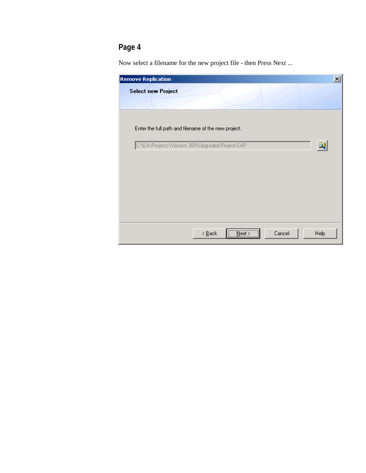Now select a filename for the new project file - then Press Next ...

| <b>Remove Replication</b>                            |                            |               |        |      | $\vert x \vert$ |
|------------------------------------------------------|----------------------------|---------------|--------|------|-----------------|
| <b>Select new Project</b>                            |                            |               |        |      |                 |
|                                                      |                            |               |        |      |                 |
|                                                      |                            |               |        |      |                 |
| Enter the full path and filename of the new project. |                            |               |        |      |                 |
|                                                      |                            |               |        |      |                 |
| C:\EA\Projects\Version 300\Upgraded Project.EAP      |                            |               |        |      |                 |
|                                                      |                            |               |        |      |                 |
|                                                      |                            |               |        |      |                 |
|                                                      |                            |               |        |      |                 |
|                                                      |                            |               |        |      |                 |
|                                                      |                            |               |        |      |                 |
|                                                      |                            |               |        |      |                 |
|                                                      |                            |               |        |      |                 |
|                                                      | $\leq$ $\underline{B}$ ack | $N$ ext >     | Cancel | Help |                 |
|                                                      |                            | \ <del></del> |        |      |                 |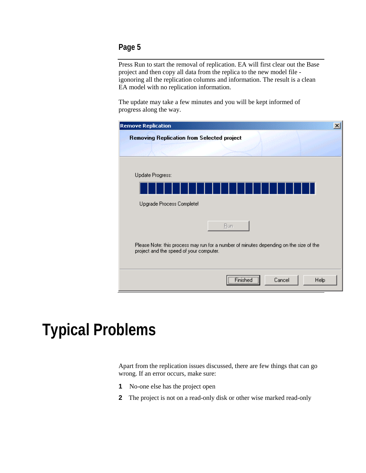<span id="page-20-0"></span>Press Run to start the removal of replication. EA will first clear out the Base project and then copy all data from the replica to the new model file igonoring all the replication columns and information. The result is a clean EA model with no replication information.

The update may take a few minutes and you will be kept informed of progress along the way.

| Cancel<br>Help                                                                                                                                                                                            |
|-----------------------------------------------------------------------------------------------------------------------------------------------------------------------------------------------------------|
| <b>Removing Replication from Selected project</b><br>Bun<br>Please Note: this process may run for a number of minutes depending on the size of the<br>project and the speed of your computer.<br>Finished |

# **Typical Problems**

Apart from the replication issues discussed, there are few things that can go wrong. If an error occurs, make sure:

- **1** No-one else has the project open
- **2** The project is not on a read-only disk or other wise marked read-only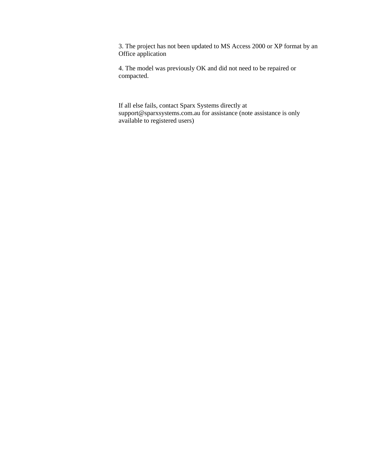3. The project has not been updated to MS Access 2000 or XP format by an Office application

4. The model was previously OK and did not need to be repaired or compacted.

If all else fails, contact Sparx Systems directly at support@sparxsystems.com.au for assistance (note assistance is only available to registered users)